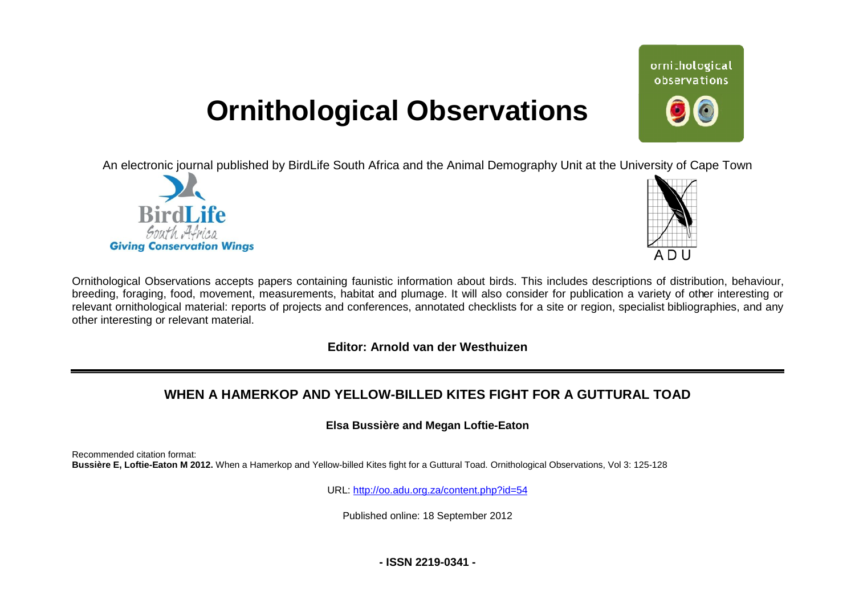# **Ornithological Observations**

An electronic journal published by BirdLife South Africa and the Animal Demography Unit at the University of Cape Town





ornithological observations

Ornithological Observations accepts papers containing faunistic information about birds. This includes descriptions of distribution, behaviour, breeding, foraging, food, movement, measurements, habitat and plumage. It will also consider for publication a variety of other interesting or relevant ornithological material: reports of projects and conferences, annotated checklists for a site or region, specialist bibliographies, and any other interesting or relevant material.

**Editor: Arnold van der Westhuizen**

## **WHEN A HAMERKOP AND YELLOW YELLOW-BILLED KITES FIGHT FOR A GUTTURAL TOAD**

#### **Elsa Bussière and Megan Loftie-Eaton**

Recommended citation format: Bussière E, Loftie-Eaton M 2012. When a Hamerkop and Yellow-billed Kites fight for a Guttural Toad. Ornithological Observations, Vol 3: 125-128

URL: <http://oo.adu.org.za/content.php?id=54>

Published online: 18 September 2012

**- ISSN 2219-0341 -**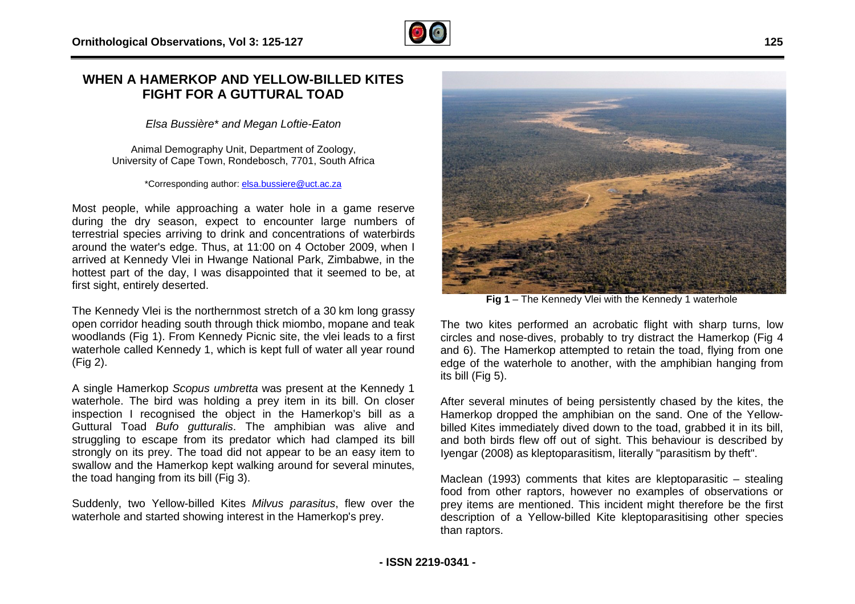### **WHEN A HAMERKOP AND YELLOW-BILLED BILLED KITES FIGHT FOR A GUTTURAL TOAD**

*Elsa Bussière\* and Megan Loftie-Eaton* 

Animal Demography Unit, Department of Zoology, University of Cape Town, Rondebosch, 7701, South Africa

\*Corresponding author: [elsa.bussiere@uct.ac.za](mailto:elsa.bussiere@uct.ac.za)

Most people, while approaching a water hole in a game reserve during the dry season, expect to encounter large numbers of terrestrial species arriving to drink and concentrations of waterbirds around the water's edge. Thus, at 11:00 on 4 October 2009, when I arrived at Kennedy Vlei in Hwange National Park, Zimbabwe, in the hottest part of the day, I was disappointed that it seemed to be, at first sight, entirely deserted.

The Kennedy Vlei is the northernmost stretch of a 30 km long grassy open corridor heading south through thick miombo, mopane and teak woodlands (Fig 1). From Kennedy Picnic site, the vlei leads to a first waterhole called Kennedy 1, which is kept full of water all year round (Fig 2). eemed to be, at<br>0 km long grassy<br>nopane and teak<br>ei leads to a first<br>er all year round<br>t the Kennedy 1<br>s bill. On closer

A single Hamerkop *Scopus umbretta* was present at the Kennedy 1 waterhole. The bird was holding a prey item in its bill. On closer inspection I recognised the object in the Hamerkop's bill as a Guttural Toad *Bufo gutturalis*. The amphibian was alive and struggling to escape from its predator which had clamped its bill strongly on its prey. The toad did not appear to be an easy item to swallow and the Hamerkop kept walking around for several minutes minutes, the toad hanging from its bill (Fig 3).

Suddenly, two Yellow-billed Kites *Milvus parasitus*, flew over the waterhole and started showing interest in the Hamerkop's prey.



circles and nose-dives, probably to try distract the Hamerkop (Fig 4 and 6). The Hamerkop attempted to retain the toad, flying from one edge of the waterhole to another, with the amphibian hanging from its bill (Fig 5).

After several minutes of being persistently chased by the kites, the Hamerkop dropped the amphibian on the sand. One of the Yellowbilled Kites immediately dived down to the toad, grabbed it in its bill, and both birds flew off out of sight. This behaviour is described by Iyengar (2008) as kleptoparasitism, literally "parasitism by theft".

Maclean (1993) comments that kites are kleptoparasitic - stealing food from other raptors, however no examples of observations or prey items are mentioned. This incident might therefore be the first description of a Yellow-billed Kite kleptoparasitising other species than raptors.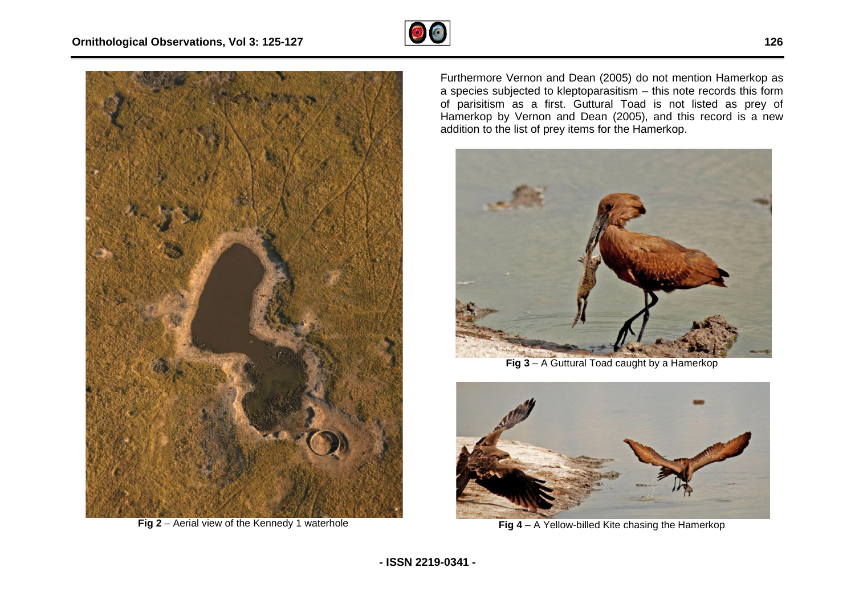

**Fig 2** – Aerial view of the Kennedy 1 waterhole

Furthermore Vernon and Dean (2005) do not mention Hamerkop as<br>a species subjected to kleptoparasitism – this note records this form of parisitism as a first. Guttural Toad is not listed as prey of Hamerkop by Vernon and Dean (2005), and this record is a new addition to the list of prey items for the Hamerkop.



**Fig 3** – A Guttural Toad caught by a Hamerkop



**Fig 4** – A Yellow-billed Kite chasing the Hamerkop

 $\odot$